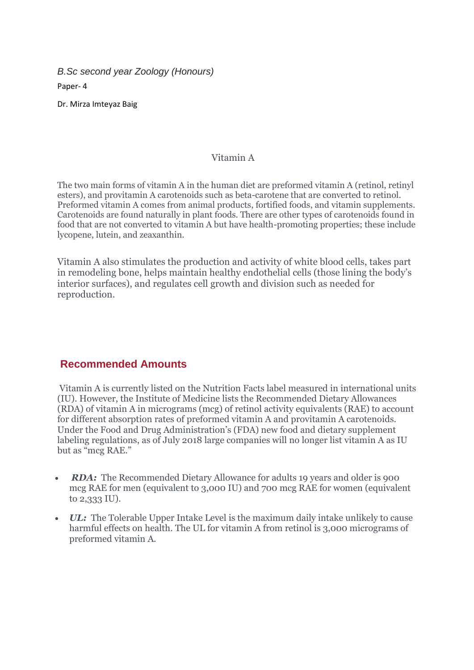*B.Sc second year Zoology (Honours)* Paper- 4

Dr. Mirza Imteyaz Baig

## Vitamin A

The two main forms of vitamin A in the human diet are preformed vitamin A (retinol, retinyl esters), and provitamin A carotenoids such as beta-carotene that are converted to retinol. Preformed vitamin A comes from animal products, fortified foods, and vitamin supplements. Carotenoids are found naturally in plant foods. There are other types of carotenoids found in food that are not converted to vitamin A but have health-promoting properties; these include lycopene, lutein, and zeaxanthin.

Vitamin A also stimulates the production and activity of white blood cells, takes part in remodeling bone, helps maintain healthy endothelial cells (those lining the body's interior surfaces), and regulates cell growth and division such as needed for reproduction.

# **Recommended Amounts**

Vitamin A is currently listed on the Nutrition Facts label measured in international units (IU). However, the Institute of Medicine lists the Recommended Dietary Allowances (RDA) of vitamin A in micrograms (mcg) of retinol activity equivalents (RAE) to account for different absorption rates of preformed vitamin A and provitamin A carotenoids. Under the Food and Drug Administration's (FDA) new food and dietary supplement labeling regulations, as of July 2018 large companies will no longer list vitamin A as IU but as "mcg RAE."

- **RDA:** The Recommended Dietary Allowance for adults 19 years and older is 900 mcg RAE for men (equivalent to 3,000 IU) and 700 mcg RAE for women (equivalent to 2,333 IU).
- *UL:* The Tolerable Upper Intake Level is the maximum daily intake unlikely to cause harmful effects on health. The UL for vitamin A from retinol is 3,000 micrograms of preformed vitamin A.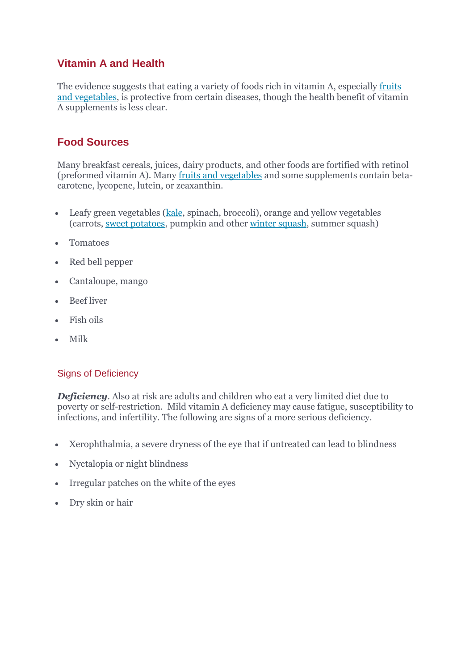# **Vitamin A and Health**

The evidence suggests that eating a variety of foods rich in vitamin A, especially [fruits](https://hsph.harvard.edu/nutritionsource/what-should-you-eat/vegetables-and-fruits/#ref17)  [and vegetables,](https://hsph.harvard.edu/nutritionsource/what-should-you-eat/vegetables-and-fruits/#ref17) is protective from certain diseases, though the health benefit of vitamin A supplements is less clear.

# **Food Sources**

Many breakfast cereals, juices, dairy products, and other foods are fortified with retinol (preformed vitamin A). Many [fruits and vegetables](https://www.hsph.harvard.edu/nutritionsource/what-should-you-eat/vegetables-and-fruits/) and some supplements contain betacarotene, lycopene, lutein, or zeaxanthin.

- Leafy green vegetables [\(kale,](https://www.hsph.harvard.edu/nutritionsource/food-features/kale/) spinach, broccoli), orange and yellow vegetables (carrots, [sweet potatoes,](https://www.hsph.harvard.edu/nutritionsource/food-features/sweet-potatoes/) pumpkin and other [winter squash,](https://www.hsph.harvard.edu/nutritionsource/food-features/winter-squash/) summer squash)
- Tomatoes
- Red bell pepper
- Cantaloupe, mango
- Beef liver
- Fish oils
- Milk

# Signs of Deficiency

*Deficiency*. Also at risk are adults and children who eat a very limited diet due to poverty or self-restriction. Mild vitamin A deficiency may cause fatigue, susceptibility to infections, and infertility. The following are signs of a more serious deficiency.

- Xerophthalmia, a severe dryness of the eye that if untreated can lead to blindness
- Nyctalopia or night blindness
- Irregular patches on the white of the eyes
- Dry skin or hair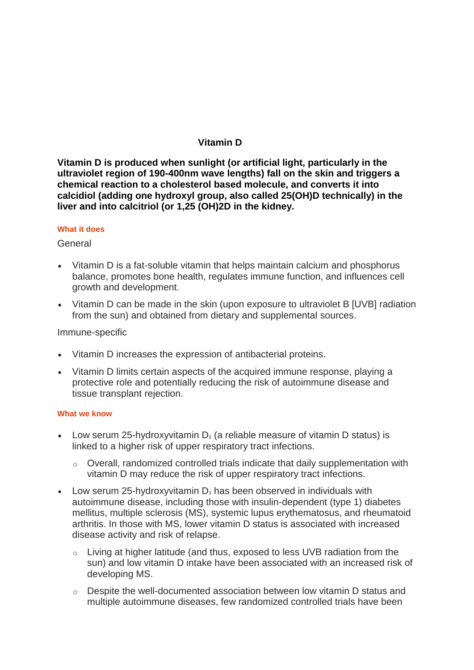# **Vitamin D**

**Vitamin D is produced when sunlight (or artificial light, particularly in the ultraviolet region of 190-400nm wave lengths) fall on the skin and triggers a chemical reaction to a cholesterol based molecule, and converts it into calcidiol (adding one hydroxyl group, also called 25(OH)D technically) in the liver and into calcitriol (or 1,25 (OH)2D in the kidney.**

#### **What it does**

#### **General**

- Vitamin D is a fat-soluble vitamin that helps maintain calcium and phosphorus balance, promotes bone health, regulates immune function, and influences cell growth and development.
- Vitamin D can be made in the skin (upon exposure to ultraviolet B [UVB] radiation from the sun) and obtained from dietary and supplemental sources.

#### Immune-specific

- Vitamin D increases the expression of antibacterial proteins.
- Vitamin D limits certain aspects of the acquired immune response, playing a protective role and potentially reducing the risk of autoimmune disease and tissue transplant rejection.

#### **What we know**

- Low serum 25-hydroxyvitamin  $D_3$  (a reliable measure of vitamin D status) is linked to a higher risk of upper respiratory tract infections.
	- o Overall, randomized controlled trials indicate that daily supplementation with vitamin D may reduce the risk of upper respiratory tract infections.
- Low serum 25-hydroxyvitamin  $D_3$  has been observed in individuals with autoimmune disease, including those with insulin-dependent (type 1) diabetes mellitus, multiple sclerosis (MS), systemic lupus erythematosus, and rheumatoid arthritis. In those with MS, lower vitamin D status is associated with increased disease activity and risk of relapse.
	- o Living at higher latitude (and thus, exposed to less UVB radiation from the sun) and low vitamin D intake have been associated with an increased risk of developing MS.
	- o Despite the well-documented association between low vitamin D status and multiple autoimmune diseases, few randomized controlled trials have been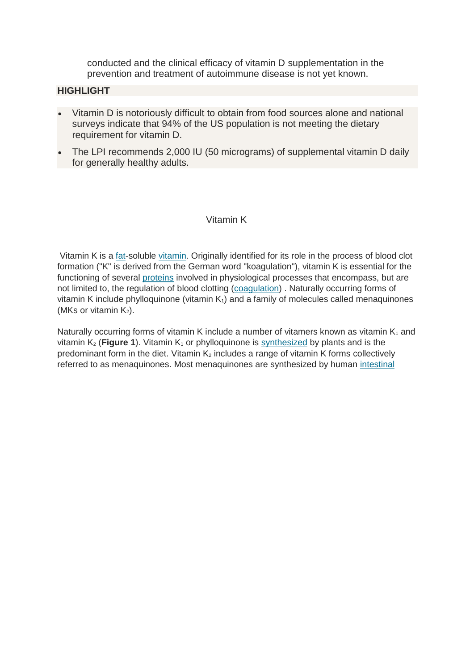conducted and the clinical efficacy of vitamin D supplementation in the prevention and treatment of autoimmune disease is not yet known.

## **HIGHLIGHT**

- Vitamin D is notoriously difficult to obtain from food sources alone and national surveys indicate that 94% of the US population is not meeting the dietary requirement for vitamin D.
- The LPI recommends 2,000 IU (50 micrograms) of supplemental vitamin D daily for generally healthy adults.

## Vitamin K

Vitamin K is a [fat-](https://lpi.oregonstate.edu/mic/glossary#lipid)soluble [vitamin.](https://lpi.oregonstate.edu/mic/glossary#vitamin) Originally identified for its role in the process of blood clot formation ("K" is derived from the German word "koagulation"), vitamin K is essential for the functioning of several [proteins](https://lpi.oregonstate.edu/mic/glossary#protein) involved in physiological processes that encompass, but are not limited to, the regulation of blood clotting [\(coagulation\)](https://lpi.oregonstate.edu/mic/glossary#coagulation) . Naturally occurring forms of vitamin K include phylloquinone (vitamin  $K_1$ ) and a family of molecules called menaquinones (MKs or vitamin  $K_2$ ).

Naturally occurring forms of vitamin K include a number of vitamers known as vitamin  $K_1$  and vitamin  $K_2$  (**Figure 1**). Vitamin  $K_1$  or phylloquinone is [synthesized](https://lpi.oregonstate.edu/mic/glossary#synthesis) by plants and is the predominant form in the diet. Vitamin  $K_2$  includes a range of vitamin K forms collectively referred to as menaquinones. Most menaquinones are synthesized by human intestinal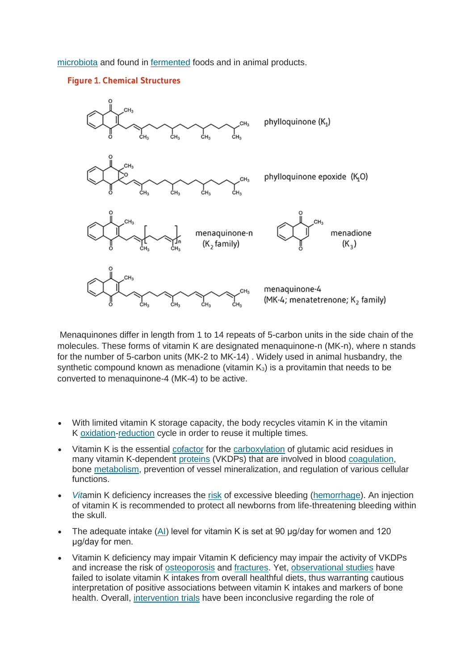[microbiota](https://lpi.oregonstate.edu/mic/glossary#intestinal-microbiota) and found in [fermented](https://lpi.oregonstate.edu/mic/glossary#fermentation) foods and in animal products.

### **Figure 1. Chemical Structures**



Menaquinones differ in length from 1 to 14 repeats of 5-carbon units in the side chain of the molecules. These forms of vitamin K are designated menaquinone-n (MK-n), where n stands for the number of 5-carbon units (MK-2 to MK-14) . Widely used in animal husbandry, the synthetic compound known as menadione (vitamin  $K_3$ ) is a provitamin that needs to be converted to menaquinone-4 (MK-4) to be active.

- With limited vitamin K storage capacity, the body recycles vitamin K in the vitamin K [oxidation-](https://lpi.oregonstate.edu/mic/glossary#oxidation)[reduction](https://lpi.oregonstate.edu/mic/glossary#reduction) cycle in order to reuse it multiple times.
- Vitamin K is the essential [cofactor](https://lpi.oregonstate.edu/mic/glossary#cofactor) for the [carboxylation](https://lpi.oregonstate.edu/mic/glossary#carboxylation) of glutamic acid residues in many vitamin K-dependent [proteins](https://lpi.oregonstate.edu/mic/glossary#protein) (VKDPs) that are involved in blood [coagulation,](https://lpi.oregonstate.edu/mic/glossary#coagulation) bone [metabolism,](https://lpi.oregonstate.edu/mic/glossary#metabolism) prevention of vessel mineralization, and regulation of various cellular functions.
- *Vit*amin K deficiency increases the [risk](https://lpi.oregonstate.edu/mic/glossary#risk) of excessive bleeding [\(hemorrhage\)](https://lpi.oregonstate.edu/mic/glossary#hemorrhage). An injection of vitamin K is recommended to protect all newborns from life-threatening bleeding within the skull.
- The adequate intake [\(AI\)](https://lpi.oregonstate.edu/mic/glossary#AI) level for vitamin K is set at 90 µg/day for women and 120 μg/day for men.
- Vitamin K deficiency may impair Vitamin K deficiency may impair the activity of VKDPs and increase the risk of [osteoporosis](https://lpi.oregonstate.edu/mic/glossary#osteoporosis) and [fractures.](https://lpi.oregonstate.edu/mic/glossary#fracture) Yet, [observational studies](https://lpi.oregonstate.edu/mic/glossary#observational-study) have failed to isolate vitamin K intakes from overall healthful diets, thus warranting cautious interpretation of positive associations between vitamin K intakes and markers of bone health. Overall, [intervention trials](https://lpi.oregonstate.edu/mic/glossary#intervention-trial) have been inconclusive regarding the role of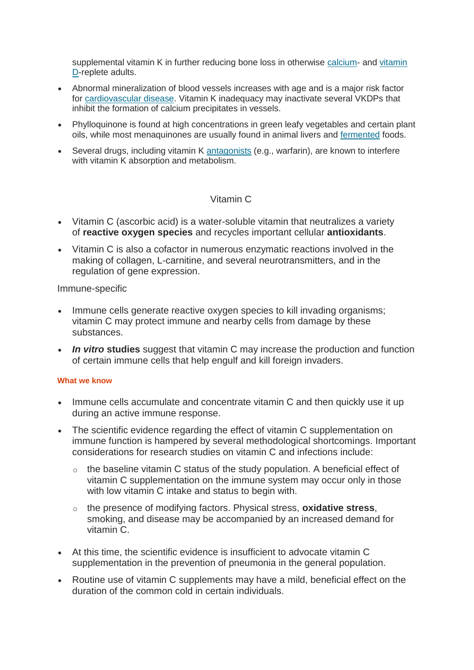supplemental vitamin K in further reducing bone loss in otherwise [calcium-](https://lpi.oregonstate.edu/mic/minerals/calcium) and [vitamin](https://lpi.oregonstate.edu/mic/vitamins/vitamin-D)  [D-](https://lpi.oregonstate.edu/mic/vitamins/vitamin-D)replete adults.

- Abnormal mineralization of blood vessels increases with age and is a major risk factor for [cardiovascular disease.](https://lpi.oregonstate.edu/mic/glossary#cardiovascular-disease) Vitamin K inadequacy may inactivate several VKDPs that inhibit the formation of calcium precipitates in vessels.
- Phylloquinone is found at high concentrations in green leafy vegetables and certain plant oils, while most menaquinones are usually found in animal livers and [fermented](https://lpi.oregonstate.edu/mic/glossary#fermentation) foods.
- Several drugs, including vitamin K [antagonists](https://lpi.oregonstate.edu/mic/glossary#antagonist) (e.g., warfarin), are known to interfere with vitamin K absorption and metabolism.

## Vitamin C

- Vitamin C (ascorbic acid) is a water-soluble vitamin that neutralizes a variety of **reactive oxygen species** and recycles important cellular **antioxidants**.
- Vitamin C is also a cofactor in numerous enzymatic reactions involved in the making of collagen, L-carnitine, and several neurotransmitters, and in the regulation of gene expression.

Immune-specific

- Immune cells generate reactive oxygen species to kill invading organisms; vitamin C may protect immune and nearby cells from damage by these substances.
- *In vitro* **studies** suggest that vitamin C may increase the production and function of certain immune cells that help engulf and kill foreign invaders.

### **What we know**

- Immune cells accumulate and concentrate vitamin C and then quickly use it up during an active immune response.
- The scientific evidence regarding the effect of vitamin C supplementation on immune function is hampered by several methodological shortcomings. Important considerations for research studies on vitamin C and infections include:
	- $\circ$  the baseline vitamin C status of the study population. A beneficial effect of vitamin C supplementation on the immune system may occur only in those with low vitamin C intake and status to begin with.
	- o the presence of modifying factors. Physical stress, **oxidative stress**, smoking, and disease may be accompanied by an increased demand for vitamin C.
- At this time, the scientific evidence is insufficient to advocate vitamin C supplementation in the prevention of pneumonia in the general population.
- Routine use of vitamin C supplements may have a mild, beneficial effect on the duration of the common cold in certain individuals.